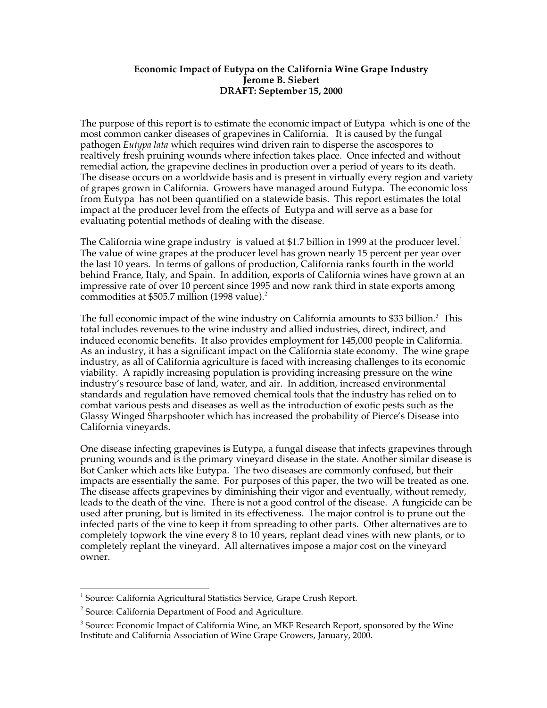## **Economic Impact of Eutypa on the California Wine Grape Industry Jerome B. Siebert DRAFT: September 15, 2000**

The purpose of this report is to estimate the economic impact of Eutypa which is one of the most common canker diseases of grapevines in California. It is caused by the fungal pathogen *Eutypa lata* which requires wind driven rain to disperse the ascospores to realtively fresh pruining wounds where infection takes place. Once infected and without remedial action, the grapevine declines in production over a period of years to its death. The disease occurs on a worldwide basis and is present in virtually every region and variety of grapes grown in California. Growers have managed around Eutypa. The economic loss from Eutypa has not been quantified on a statewide basis. This report estimates the total impact at the producer level from the effects of Eutypa and will serve as a base for evaluating potential methods of dealing with the disease.

The California wine grape industry is valued at \$1.7 billion in 1999 at the producer level.<sup>1</sup> The value of wine grapes at the producer level has grown nearly 15 percent per year over the last 10 years. In terms of gallons of production, California ranks fourth in the world behind France, Italy, and Spain. In addition, exports of California wines have grown at an impressive rate of over 10 percent since 1995 and now rank third in state exports among commodities at \$505.7 million (1998 value).<sup>2</sup>

The full economic impact of the wine industry on California amounts to \$33 billion.<sup>3</sup> This total includes revenues to the wine industry and allied industries, direct, indirect, and induced economic benefits. It also provides employment for 145,000 people in California. As an industry, it has a significant impact on the California state economy. The wine grape industry, as all of California agriculture is faced with increasing challenges to its economic viability. A rapidly increasing population is providing increasing pressure on the wine industryís resource base of land, water, and air. In addition, increased environmental standards and regulation have removed chemical tools that the industry has relied on to combat various pests and diseases as well as the introduction of exotic pests such as the Glassy Winged Sharpshooter which has increased the probability of Pierce's Disease into California vineyards.

One disease infecting grapevines is Eutypa, a fungal disease that infects grapevines through pruning wounds and is the primary vineyard disease in the state. Another similar disease is Bot Canker which acts like Eutypa. The two diseases are commonly confused, but their impacts are essentially the same. For purposes of this paper, the two will be treated as one. The disease affects grapevines by diminishing their vigor and eventually, without remedy, leads to the death of the vine. There is not a good control of the disease. A fungicide can be used after pruning, but is limited in its effectiveness. The major control is to prune out the infected parts of the vine to keep it from spreading to other parts. Other alternatives are to completely topwork the vine every 8 to 10 years, replant dead vines with new plants, or to completely replant the vineyard. All alternatives impose a major cost on the vineyard owner.

 $\overline{a}$ 

<sup>&</sup>lt;sup>1</sup> Source: California Agricultural Statistics Service, Grape Crush Report.

 $2^{2}$  Source: California Department of Food and Agriculture.

 $3$  Source: Economic Impact of California Wine, an MKF Research Report, sponsored by the Wine Institute and California Association of Wine Grape Growers, January, 2000.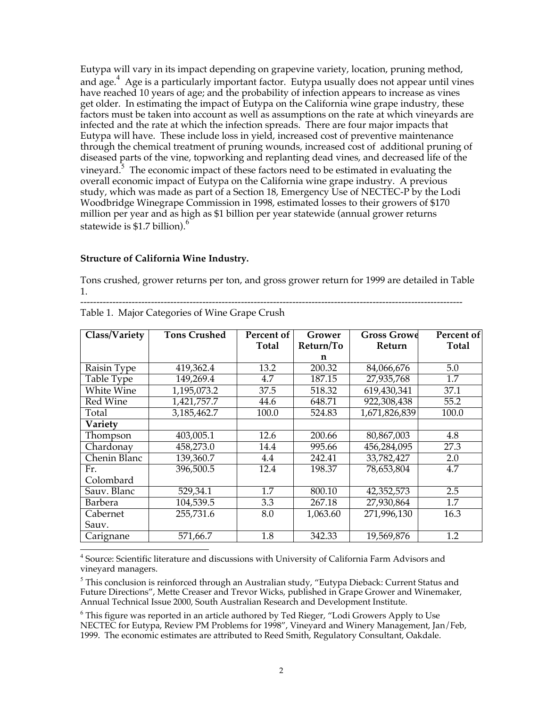Eutypa will vary in its impact depending on grapevine variety, location, pruning method, and age.<sup>4</sup> Age is a particularly important factor. Eutypa usually does not appear until vines have reached 10 years of age; and the probability of infection appears to increase as vines get older. In estimating the impact of Eutypa on the California wine grape industry, these factors must be taken into account as well as assumptions on the rate at which vineyards are infected and the rate at which the infection spreads. There are four major impacts that Eutypa will have. These include loss in yield, increased cost of preventive maintenance through the chemical treatment of pruning wounds, increased cost of additional pruning of diseased parts of the vine, topworking and replanting dead vines, and decreased life of the vineyard.<sup>5</sup> The economic impact of these factors need to be estimated in evaluating the overall economic impact of Eutypa on the California wine grape industry. A previous study, which was made as part of a Section 18, Emergency Use of NECTEC-P by the Lodi Woodbridge Winegrape Commission in 1998, estimated losses to their growers of \$170 million per year and as high as \$1 billion per year statewide (annual grower returns statewide is  $$1.7$  billion).<sup>6</sup>

# **Structure of California Wine Industry.**

 $\overline{a}$ 

Tons crushed, grower returns per ton, and gross grower return for 1999 are detailed in Table 1.

| Class/Variety     | <b>Tons Crushed</b>    | Percent of | Grower    | <b>Gross Growe</b> | Percent of |
|-------------------|------------------------|------------|-----------|--------------------|------------|
|                   |                        | Total      | Return/To | Return             | Total      |
|                   |                        |            | n         |                    |            |
| Raisin Type       | 419,362.4              | 13.2       | 200.32    | 84,066,676         | 5.0        |
| Table Type        | $\overline{149,269.4}$ | 4.7        | 187.15    | 27,935,768         | 1.7        |
| <b>White Wine</b> | 1,195,073.2            | 37.5       | 518.32    | 619,430,341        | 37.1       |
| Red Wine          | 1,421,757.7            | 44.6       | 648.71    | 922,308,438        | 55.2       |
| Total             | 3,185,462.7            | 100.0      | 524.83    | 1,671,826,839      | 100.0      |
| Variety           |                        |            |           |                    |            |
| Thompson          | 403,005.1              | 12.6       | 200.66    | 80,867,003         | 4.8        |
| Chardonay         | 458,273.0              | 14.4       | 995.66    | 456,284,095        | 27.3       |
| Chenin Blanc      | 139,360.7              | 4.4        | 242.41    | 33,782,427         | 2.0        |
| Fr.               | 396,500.5              | 12.4       | 198.37    | 78,653,804         | 4.7        |
| Colombard         |                        |            |           |                    |            |
| Sauv. Blanc       | 529,34.1               | 1.7        | 800.10    | 42,352,573         | 2.5        |
| <b>Barbera</b>    | 104,539.5              | 3.3        | 267.18    | 27,930,864         | 1.7        |
| Cabernet          | 255,731.6              | 8.0        | 1,063.60  | 271,996,130        | 16.3       |
| Sauv.             |                        |            |           |                    |            |
| Carignane         | 571,66.7               | 1.8        | 342.33    | 19,569,876         | 1.2        |

----------------------------------------------------------------------------------------------------------------------- Table 1. Major Categories of Wine Grape Crush

<sup>4</sup> Source: Scientific literature and discussions with University of California Farm Advisors and vineyard managers.

 $^5$  This conclusion is reinforced through an Australian study, "Eutypa Dieback: Current Status and Future Directions", Mette Creaser and Trevor Wicks, published in Grape Grower and Winemaker, Annual Technical Issue 2000, South Australian Research and Development Institute.

 $^6$  This figure was reported in an article authored by Ted Rieger, "Lodi Growers Apply to Use NECTEC for Eutypa, Review PM Problems for 1998î, Vineyard and Winery Management, Jan/Feb, 1999. The economic estimates are attributed to Reed Smith, Regulatory Consultant, Oakdale.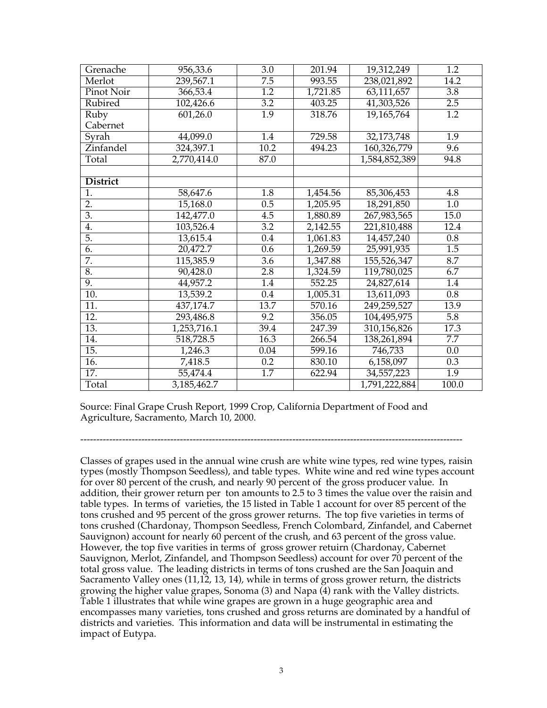| Grenache          | 956,33.6    | 3.0              | 201.94   | 19,312,249    | $\overline{1.2}$ |
|-------------------|-------------|------------------|----------|---------------|------------------|
| Merlot            | 239,567.1   | $\overline{7.5}$ | 993.55   | 238,021,892   | 14.2             |
| Pinot Noir        | 366,53.4    | $\overline{1.2}$ | 1,721.85 | 63,111,657    | $\overline{3.8}$ |
| Rubired           | 102,426.6   | $\overline{3.2}$ | 403.25   | 41,303,526    | 2.5              |
| Ruby              | 601,26.0    | $\overline{1.9}$ | 318.76   | 19,165,764    | $\overline{1.2}$ |
| Cabernet          |             |                  |          |               |                  |
| Syrah             | 44,099.0    | 1.4              | 729.58   | 32,173,748    | $\overline{1.9}$ |
| Zinfandel         | 324,397.1   | 10.2             | 494.23   | 160,326,779   | 9.6              |
| Total             | 2,770,414.0 | 87.0             |          | 1,584,852,389 | 94.8             |
|                   |             |                  |          |               |                  |
| <b>District</b>   |             |                  |          |               |                  |
| 1.                | 58,647.6    | 1.8              | 1,454.56 | 85,306,453    | 4.8              |
| 2.                | 15,168.0    | 0.5              | 1,205.95 | 18,291,850    | 1.0              |
| 3.                | 142,477.0   | 4.5              | 1,880.89 | 267,983,565   | 15.0             |
| 4.                | 103,526.4   | $\overline{3.2}$ | 2,142.55 | 221,810,488   | 12.4             |
| 5.                | 13,615.4    | 0.4              | 1,061.83 | 14,457,240    | 0.8              |
| 6.                | 20,472.7    | 0.6              | 1,269.59 | 25,991,935    | $\overline{1.5}$ |
| 7.                | 115,385.9   | $\overline{3.6}$ | 1,347.88 | 155,526,347   | 8.7              |
| 8.                | 90,428.0    | 2.8              | 1,324.59 | 119,780,025   | 6.7              |
| 9.                | 44,957.2    | 1.4              | 552.25   | 24,827,614    | 1.4              |
| 10.               | 13,539.2    | $\overline{0.4}$ | 1,005.31 | 13,611,093    | 0.8              |
| $\overline{11}$ . | 437,174.7   | 13.7             | 570.16   | 249,259,527   | 13.9             |
| $\overline{12}$ . | 293,486.8   | 9.2              | 356.05   | 104,495,975   | $\overline{5.8}$ |
| $\overline{13}$ . | 1,253,716.1 | 39.4             | 247.39   | 310,156,826   | 17.3             |
| 14.               | 518,728.5   | 16.3             | 266.54   | 138,261,894   | $\overline{7.7}$ |
| $\overline{15}$ . | 1,246.3     | 0.04             | 599.16   | 746,733       | 0.0              |
| $\overline{16}$ . | 7,418.5     | 0.2              | 830.10   | 6,158,097     | 0.3              |
| $\overline{17}$ . | 55,474.4    | $\overline{1.7}$ | 622.94   | 34,557,223    | $\overline{1.9}$ |
| Total             | 3,185,462.7 |                  |          | 1,791,222,884 | 100.0            |

Source: Final Grape Crush Report, 1999 Crop, California Department of Food and Agriculture, Sacramento, March 10, 2000.

-----------------------------------------------------------------------------------------------------------------------

Classes of grapes used in the annual wine crush are white wine types, red wine types, raisin types (mostly Thompson Seedless), and table types. White wine and red wine types account for over 80 percent of the crush, and nearly 90 percent of the gross producer value. In addition, their grower return per ton amounts to 2.5 to 3 times the value over the raisin and table types. In terms of varieties, the 15 listed in Table 1 account for over 85 percent of the tons crushed and 95 percent of the gross grower returns. The top five varieties in terms of tons crushed (Chardonay, Thompson Seedless, French Colombard, Zinfandel, and Cabernet Sauvignon) account for nearly 60 percent of the crush, and 63 percent of the gross value. However, the top five varities in terms of gross grower retuirn (Chardonay, Cabernet Sauvignon, Merlot, Zinfandel, and Thompson Seedless) account for over 70 percent of the total gross value. The leading districts in terms of tons crushed are the San Joaquin and Sacramento Valley ones (11,12, 13, 14), while in terms of gross grower return, the districts growing the higher value grapes, Sonoma (3) and Napa (4) rank with the Valley districts. Table 1 illustrates that while wine grapes are grown in a huge geographic area and encompasses many varieties, tons crushed and gross returns are dominated by a handful of districts and varieties. This information and data will be instrumental in estimating the impact of Eutypa.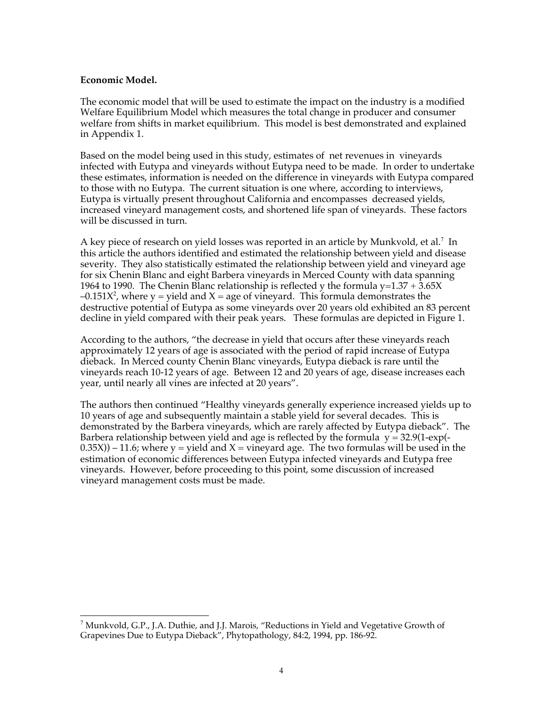# **Economic Model.**

 $\overline{a}$ 

The economic model that will be used to estimate the impact on the industry is a modified Welfare Equilibrium Model which measures the total change in producer and consumer welfare from shifts in market equilibrium. This model is best demonstrated and explained in Appendix 1.

Based on the model being used in this study, estimates of net revenues in vineyards infected with Eutypa and vineyards without Eutypa need to be made. In order to undertake these estimates, information is needed on the difference in vineyards with Eutypa compared to those with no Eutypa. The current situation is one where, according to interviews, Eutypa is virtually present throughout California and encompasses decreased yields, increased vineyard management costs, and shortened life span of vineyards. These factors will be discussed in turn.

A key piece of research on yield losses was reported in an article by Munkvold, et al.<sup>7</sup> In this article the authors identified and estimated the relationship between yield and disease severity. They also statistically estimated the relationship between yield and vineyard age for six Chenin Blanc and eight Barbera vineyards in Merced County with data spanning 1964 to 1990. The Chenin Blanc relationship is reflected y the formula  $y=1.37 + 3.65X$  $-0.151X<sup>2</sup>$ , where y = yield and X = age of vineyard. This formula demonstrates the destructive potential of Eutypa as some vineyards over 20 years old exhibited an 83 percent decline in yield compared with their peak years. These formulas are depicted in Figure 1.

According to the authors, "the decrease in yield that occurs after these vineyards reach approximately 12 years of age is associated with the period of rapid increase of Eutypa dieback. In Merced county Chenin Blanc vineyards, Eutypa dieback is rare until the vineyards reach 10-12 years of age. Between 12 and 20 years of age, disease increases each year, until nearly all vines are infected at 20 years".

The authors then continued "Healthy vineyards generally experience increased yields up to 10 years of age and subsequently maintain a stable yield for several decades. This is demonstrated by the Barbera vineyards, which are rarely affected by Eutypa dieback". The Barbera relationship between yield and age is reflected by the formula  $y = 32.9(1-\exp(-\pi))$  $(0.35X)$ ) – 11.6; where y = yield and X = vineyard age. The two formulas will be used in the estimation of economic differences between Eutypa infected vineyards and Eutypa free vineyards. However, before proceeding to this point, some discussion of increased vineyard management costs must be made.

 $^7$ Munkvold, G.P., J.A. Duthie, and J.J. Marois, "Reductions in Yield and Vegetative Growth of Grapevines Due to Eutypa Dieback", Phytopathology, 84:2, 1994, pp. 186-92.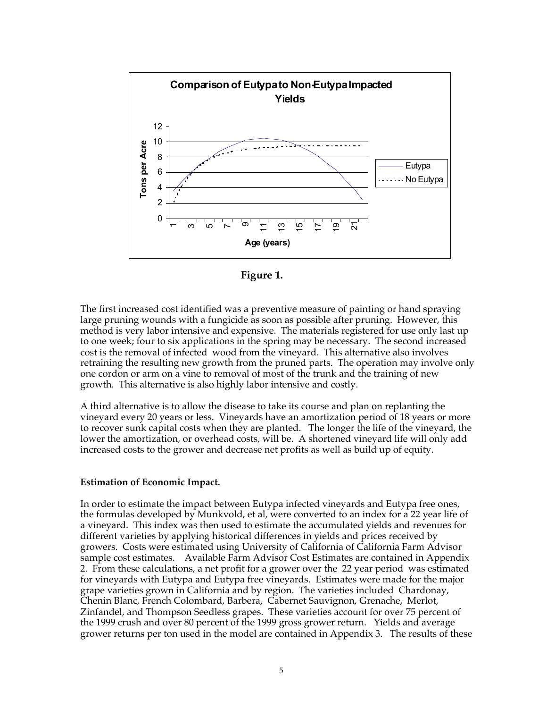

**Figure 1.**

The first increased cost identified was a preventive measure of painting or hand spraying large pruning wounds with a fungicide as soon as possible after pruning. However, this method is very labor intensive and expensive. The materials registered for use only last up to one week; four to six applications in the spring may be necessary. The second increased cost is the removal of infected wood from the vineyard. This alternative also involves retraining the resulting new growth from the pruned parts. The operation may involve only one cordon or arm on a vine to removal of most of the trunk and the training of new growth. This alternative is also highly labor intensive and costly.

A third alternative is to allow the disease to take its course and plan on replanting the vineyard every 20 years or less. Vineyards have an amortization period of 18 years or more to recover sunk capital costs when they are planted. The longer the life of the vineyard, the lower the amortization, or overhead costs, will be. A shortened vineyard life will only add increased costs to the grower and decrease net profits as well as build up of equity.

### **Estimation of Economic Impact.**

In order to estimate the impact between Eutypa infected vineyards and Eutypa free ones, the formulas developed by Munkvold, et al, were converted to an index for a 22 year life of a vineyard. This index was then used to estimate the accumulated yields and revenues for different varieties by applying historical differences in yields and prices received by growers. Costs were estimated using University of California of California Farm Advisor sample cost estimates. Available Farm Advisor Cost Estimates are contained in Appendix 2. From these calculations, a net profit for a grower over the 22 year period was estimated for vineyards with Eutypa and Eutypa free vineyards. Estimates were made for the major grape varieties grown in California and by region. The varieties included Chardonay, Chenin Blanc, French Colombard, Barbera, Cabernet Sauvignon, Grenache, Merlot, Zinfandel, and Thompson Seedless grapes. These varieties account for over 75 percent of the 1999 crush and over 80 percent of the 1999 gross grower return. Yields and average grower returns per ton used in the model are contained in Appendix 3. The results of these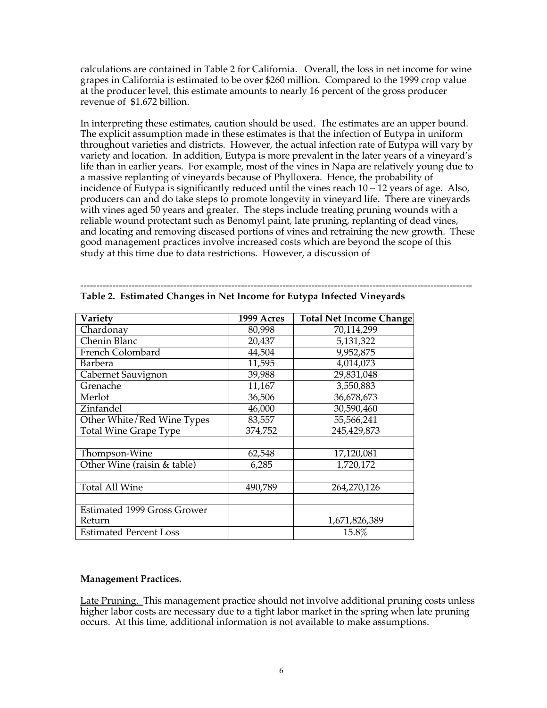calculations are contained in Table 2 for California. Overall, the loss in net income for wine grapes in California is estimated to be over \$260 million. Compared to the 1999 crop value at the producer level, this estimate amounts to nearly 16 percent of the gross producer revenue of \$1.672 billion.

In interpreting these estimates, caution should be used. The estimates are an upper bound. The explicit assumption made in these estimates is that the infection of Eutypa in uniform throughout varieties and districts. However, the actual infection rate of Eutypa will vary by variety and location. In addition, Eutypa is more prevalent in the later years of a vineyard's life than in earlier years. For example, most of the vines in Napa are relatively young due to a massive replanting of vineyards because of Phylloxera. Hence, the probability of incidence of Eutypa is significantly reduced until the vines reach  $10 - 12$  years of age. Also, producers can and do take steps to promote longevity in vineyard life. There are vineyards with vines aged 50 years and greater. The steps include treating pruning wounds with a reliable wound protectant such as Benomyl paint, late pruning, replanting of dead vines, and locating and removing diseased portions of vines and retraining the new growth. These good management practices involve increased costs which are beyond the scope of this study at this time due to data restrictions. However, a discussion of

| <b>Variety</b>                     | 1999 Acres | <b>Total Net Income Change</b> |  |
|------------------------------------|------------|--------------------------------|--|
| Chardonay                          | 80,998     | 70,114,299                     |  |
| Chenin Blanc                       | 20,437     | 5,131,322                      |  |
| French Colombard                   | 44,504     | 9,952,875                      |  |
| <b>Barbera</b>                     | 11,595     | 4,014,073                      |  |
| Cabernet Sauvignon                 | 39,988     | 29,831,048                     |  |
| Grenache                           | 11,167     | 3,550,883                      |  |
| Merlot                             | 36,506     | 36,678,673                     |  |
| Zinfandel                          | 46,000     | 30,590,460                     |  |
| Other White/Red Wine Types         | 83,557     | 55,566,241                     |  |
| <b>Total Wine Grape Type</b>       | 374,752    | 245,429,873                    |  |
|                                    |            |                                |  |
| Thompson-Wine                      | 62,548     | 17,120,081                     |  |
| Other Wine (raisin & table)        | 6,285      | 1,720,172                      |  |
|                                    |            |                                |  |
| <b>Total All Wine</b>              | 490,789    | 264,270,126                    |  |
|                                    |            |                                |  |
| <b>Estimated 1999 Gross Grower</b> |            |                                |  |
| Return                             |            | 1,671,826,389                  |  |
| <b>Estimated Percent Loss</b>      |            | 15.8%                          |  |

-------------------------------------------------------------------------------------------------------------------------- **Table 2. Estimated Changes in Net Income for Eutypa Infected Vineyards**

# **Management Practices.**

Late Pruning. This management practice should not involve additional pruning costs unless higher labor costs are necessary due to a tight labor market in the spring when late pruning occurs. At this time, additional information is not available to make assumptions.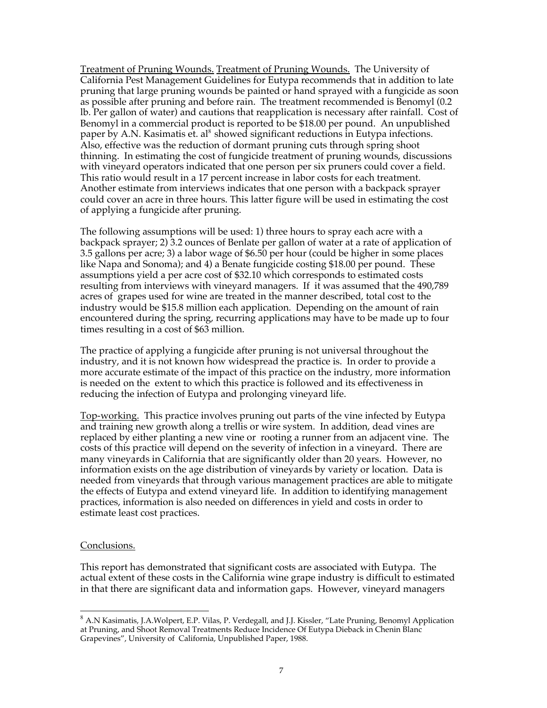Treatment of Pruning Wounds. Treatment of Pruning Wounds. The University of California Pest Management Guidelines for Eutypa recommends that in addition to late pruning that large pruning wounds be painted or hand sprayed with a fungicide as soon as possible after pruning and before rain. The treatment recommended is Benomyl (0.2 lb. Per gallon of water) and cautions that reapplication is necessary after rainfall. Cost of Benomyl in a commercial product is reported to be \$18.00 per pound. An unpublished paper by A.N. Kasimatis et. al<sup>8</sup> showed significant reductions in Eutypa infections. Also, effective was the reduction of dormant pruning cuts through spring shoot thinning. In estimating the cost of fungicide treatment of pruning wounds, discussions with vineyard operators indicated that one person per six pruners could cover a field. This ratio would result in a 17 percent increase in labor costs for each treatment. Another estimate from interviews indicates that one person with a backpack sprayer could cover an acre in three hours. This latter figure will be used in estimating the cost of applying a fungicide after pruning.

The following assumptions will be used: 1) three hours to spray each acre with a backpack sprayer; 2) 3.2 ounces of Benlate per gallon of water at a rate of application of 3.5 gallons per acre; 3) a labor wage of \$6.50 per hour (could be higher in some places like Napa and Sonoma); and 4) a Benate fungicide costing \$18.00 per pound. These assumptions yield a per acre cost of \$32.10 which corresponds to estimated costs resulting from interviews with vineyard managers. If it was assumed that the 490,789 acres of grapes used for wine are treated in the manner described, total cost to the industry would be \$15.8 million each application. Depending on the amount of rain encountered during the spring, recurring applications may have to be made up to four times resulting in a cost of \$63 million.

The practice of applying a fungicide after pruning is not universal throughout the industry, and it is not known how widespread the practice is. In order to provide a more accurate estimate of the impact of this practice on the industry, more information is needed on the extent to which this practice is followed and its effectiveness in reducing the infection of Eutypa and prolonging vineyard life.

Top-working. This practice involves pruning out parts of the vine infected by Eutypa and training new growth along a trellis or wire system. In addition, dead vines are replaced by either planting a new vine or rooting a runner from an adjacent vine. The costs of this practice will depend on the severity of infection in a vineyard. There are many vineyards in California that are significantly older than 20 years. However, no information exists on the age distribution of vineyards by variety or location. Data is needed from vineyards that through various management practices are able to mitigate the effects of Eutypa and extend vineyard life. In addition to identifying management practices, information is also needed on differences in yield and costs in order to estimate least cost practices.

### Conclusions.

 $\overline{a}$ 

This report has demonstrated that significant costs are associated with Eutypa. The actual extent of these costs in the California wine grape industry is difficult to estimated in that there are significant data and information gaps. However, vineyard managers

<sup>&</sup>lt;sup>8</sup> A.N Kasimatis, J.A.Wolpert, E.P. Vilas, P. Verdegall, and J.J. Kissler, "Late Pruning, Benomyl Application at Pruning, and Shoot Removal Treatments Reduce Incidence Of Eutypa Dieback in Chenin Blanc Grapevines", University of California, Unpublished Paper, 1988.